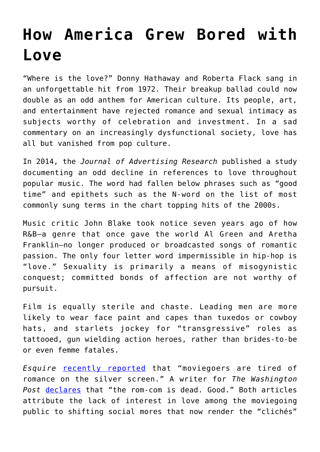## **[How America Grew Bored with](https://intellectualtakeout.org/2018/12/how-america-grew-bored-with-love/) [Love](https://intellectualtakeout.org/2018/12/how-america-grew-bored-with-love/)**

"Where is the love?" Donny Hathaway and Roberta Flack sang in an unforgettable hit from 1972. Their breakup ballad could now double as an odd anthem for American culture. Its people, art, and entertainment have rejected romance and sexual intimacy as subjects worthy of celebration and investment. In a sad commentary on an increasingly dysfunctional society, love has all but vanished from pop culture.

In 2014, the *Journal of Advertising Research* published a study documenting an odd decline in references to love throughout popular music. The word had fallen below phrases such as "good time" and epithets such as the N-word on the list of most commonly sung terms in the chart topping hits of the 2000s.

Music critic John Blake took notice seven years ago of how R&B—a genre that once gave the world Al Green and Aretha Franklin—no longer produced or broadcasted songs of romantic passion. The only four letter word impermissible in hip-hop is "love." Sexuality is primarily a means of misogynistic conquest; committed bonds of affection are not worthy of pursuit.

Film is equally sterile and chaste. Leading men are more likely to wear face paint and capes than tuxedos or cowboy hats, and starlets jockey for "transgressive" roles as tattooed, gun wielding action heroes, rather than brides-to-be or even femme fatales.

*Esquire* [recently reported](https://www.esquire.com/entertainment/movies/a53106/love-is-dead-at-the-movies/) that "moviegoers are tired of romance on the silver screen." A writer for *The Washington Post* [declares](https://www.washingtonpost.com/lifestyle/style/the-rom-com-is-dead-good/2016/10/06/6d82a934-859c-11e6-ac72-a29979381495_story.html?noredirect=on&utm_term=.31ed2ced71d6) that "the rom-com is dead. Good." Both articles attribute the lack of interest in love among the moviegoing public to shifting social mores that now render the "clichés"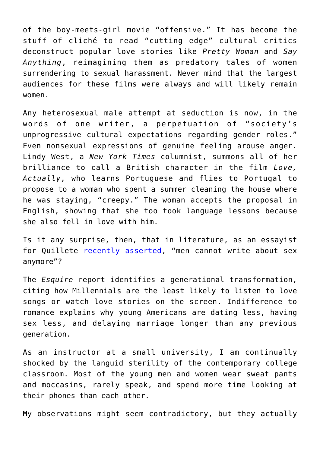of the boy-meets-girl movie "offensive." It has become the stuff of cliché to read "cutting edge" cultural critics deconstruct popular love stories like *Pretty Woman* and *Say Anything*, reimagining them as predatory tales of women surrendering to sexual harassment. Never mind that the largest audiences for these films were always and will likely remain women.

Any heterosexual male attempt at seduction is now, in the words of one writer, a perpetuation of "society's unprogressive cultural expectations regarding gender roles." Even nonsexual expressions of genuine feeling arouse anger. Lindy West, a *New York Times* columnist, summons all of her brilliance to call a British character in the film *Love, Actually*, who learns Portuguese and flies to Portugal to propose to a woman who spent a summer cleaning the house where he was staying, "creepy." The woman accepts the proposal in English, showing that she too took language lessons because she also fell in love with him.

Is it any surprise, then, that in literature, as an essayist for Quillete [recently asserted,](https://quillette.com/2018/11/30/why-men-cant-write-about-sex-anymore/) "men cannot write about sex anymore"?

The *Esquire* report identifies a generational transformation, citing how Millennials are the least likely to listen to love songs or watch love stories on the screen. Indifference to romance explains why young Americans are dating less, having sex less, and delaying marriage longer than any previous generation.

As an instructor at a small university, I am continually shocked by the languid sterility of the contemporary college classroom. Most of the young men and women wear sweat pants and moccasins, rarely speak, and spend more time looking at their phones than each other.

My observations might seem contradictory, but they actually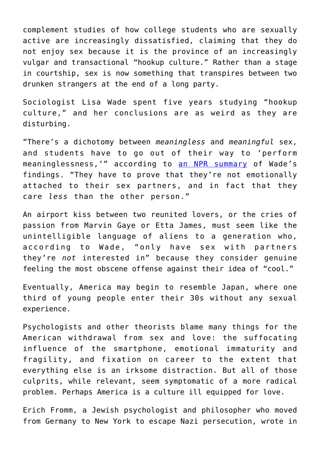complement studies of how college students who are sexually active are increasingly dissatisfied, claiming that they do not enjoy sex because it is the province of an increasingly vulgar and transactional "hookup culture." Rather than a stage in courtship, sex is now something that transpires between two drunken strangers at the end of a long party.

Sociologist Lisa Wade spent five years studying "hookup culture," and her conclusions are as weird as they are disturbing.

"There's a dichotomy between *meaningless* and *meaningful* sex, and students have to go out of their way to 'perform meaninglessness,'" according to [an NPR summary](https://www.npr.org/2017/02/14/514578429/hookup-culture-the-unspoken-rules-of-sex-on-college-campuses) of Wade's findings. "They have to prove that they're not emotionally attached to their sex partners, and in fact that they care *less* than the other person."

An airport kiss between two reunited lovers, or the cries of passion from Marvin Gaye or Etta James, must seem like the unintelligible language of aliens to a generation who, according to Wade, "only have sex with partners they're *not* interested in" because they consider genuine feeling the most obscene offense against their idea of "cool."

Eventually, America may begin to resemble Japan, where one third of young people enter their 30s without any sexual experience.

Psychologists and other theorists blame many things for the American withdrawal from sex and love: the suffocating influence of the smartphone, emotional immaturity and fragility, and fixation on career to the extent that everything else is an irksome distraction. But all of those culprits, while relevant, seem symptomatic of a more radical problem. Perhaps America is a culture ill equipped for love.

Erich Fromm, a Jewish psychologist and philosopher who moved from Germany to New York to escape Nazi persecution, wrote in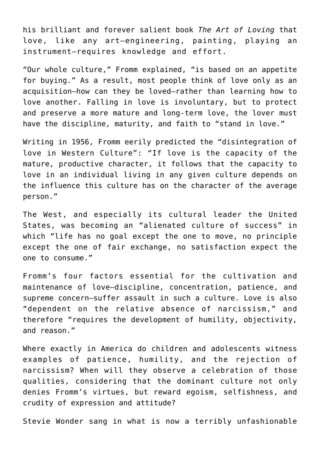his brilliant and forever salient book *The Art of Loving* that love, like any art—engineering, painting, playing an instrument—requires knowledge and effort.

"Our whole culture," Fromm explained, "is based on an appetite for buying." As a result, most people think of love only as an acquisition—how can they be loved—rather than learning how to love another. Falling in love is involuntary, but to protect and preserve a more mature and long-term love, the lover must have the discipline, maturity, and faith to "stand in love."

Writing in 1956, Fromm eerily predicted the "disintegration of love in Western Culture": "If love is the capacity of the mature, productive character, it follows that the capacity to love in an individual living in any given culture depends on the influence this culture has on the character of the average person."

The West, and especially its cultural leader the United States, was becoming an "alienated culture of success" in which "life has no goal except the one to move, no principle except the one of fair exchange, no satisfaction expect the one to consume."

Fromm's four factors essential for the cultivation and maintenance of love—discipline, concentration, patience, and supreme concern—suffer assault in such a culture. Love is also "dependent on the relative absence of narcissism," and therefore "requires the development of humility, objectivity, and reason."

Where exactly in America do children and adolescents witness examples of patience, humility, and the rejection of narcissism? When will they observe a celebration of those qualities, considering that the dominant culture not only denies Fromm's virtues, but reward egoism, selfishness, and crudity of expression and attitude?

Stevie Wonder sang in what is now a terribly unfashionable